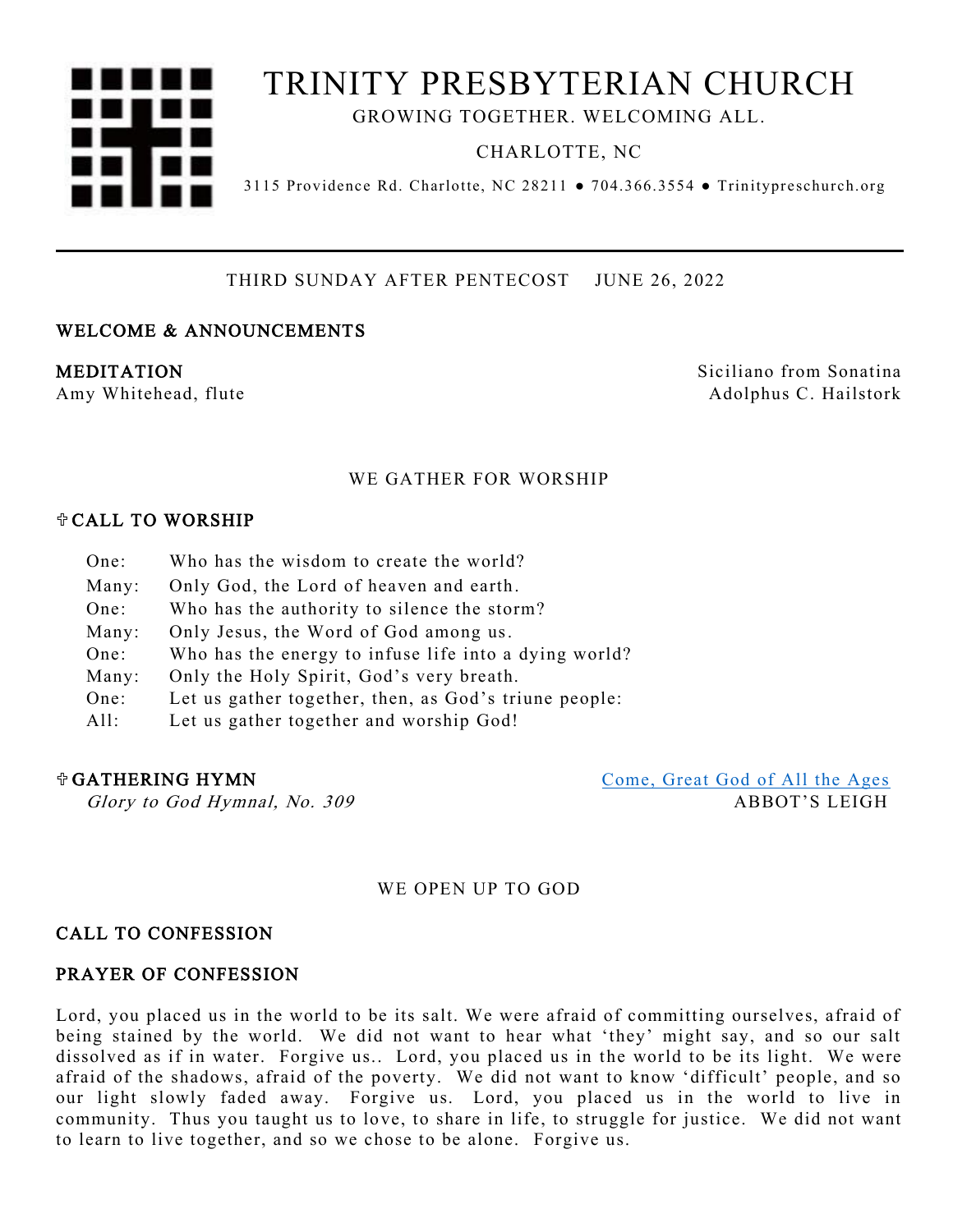# TRINITY PRESBYTERIAN CHURCH

GROWING TOGETHER. WELCOMING ALL.

CHARLOTTE, NC

3115 Providence Rd. Charlotte, NC 28211 ● 704.366.3554 ● Trinitypreschurch.org

THIRD SUNDAY AFTER PENTECOST JUNE 26, 2022

CHARLOTTE, NC 28211

# WELCOME & ANNOUNCEMENTS

MEDITATION Siciliano from Sonatina Amy Whitehead, flute Adolphus C. Hailstork

# WE GATHER FOR WORSHIP

### CALL TO WORSHIP

- One: Who has the wisdom to create the world?
- Many: Only God, the Lord of heaven and earth.
- One: Who has the authority to silence the storm?
- Many: Only Jesus, the Word of God among us.
- One: Who has the energy to infuse life into a dying world?
- Many: Only the Holy Spirit, God's very breath.
- One: Let us gather together, then, as God's triune people:
- $All:$ Let us gather together and worship God!

 GATHERING HYMN [Come, Great God of All the Ages](https://trinitypreschurch.org/wp-content/uploads/2022/06/309-Come-Great-God-of-All-the-Ages.pdf)  Glory to God Hymnal, No. 309 ABBOT'S LEIGH

# WE OPEN UP TO GOD

# CALL TO CONFESSION

## PRAYER OF CONFESSION

Lord, you placed us in the world to be its salt. We were afraid of committing ourselves, afraid of being stained by the world. We did not want to hear what 'they' might say, and so our salt dissolved as if in water. Forgive us.. Lord, you placed us in the world to be its light. We were afraid of the shadows, afraid of the poverty. We did not want to know 'difficult' people, and so our light slowly faded away. Forgive us. Lord, you placed us in the world to live in community. Thus you taught us to love, to share in life, to struggle for justice. We did not want to learn to live together, and so we chose to be alone. Forgive us.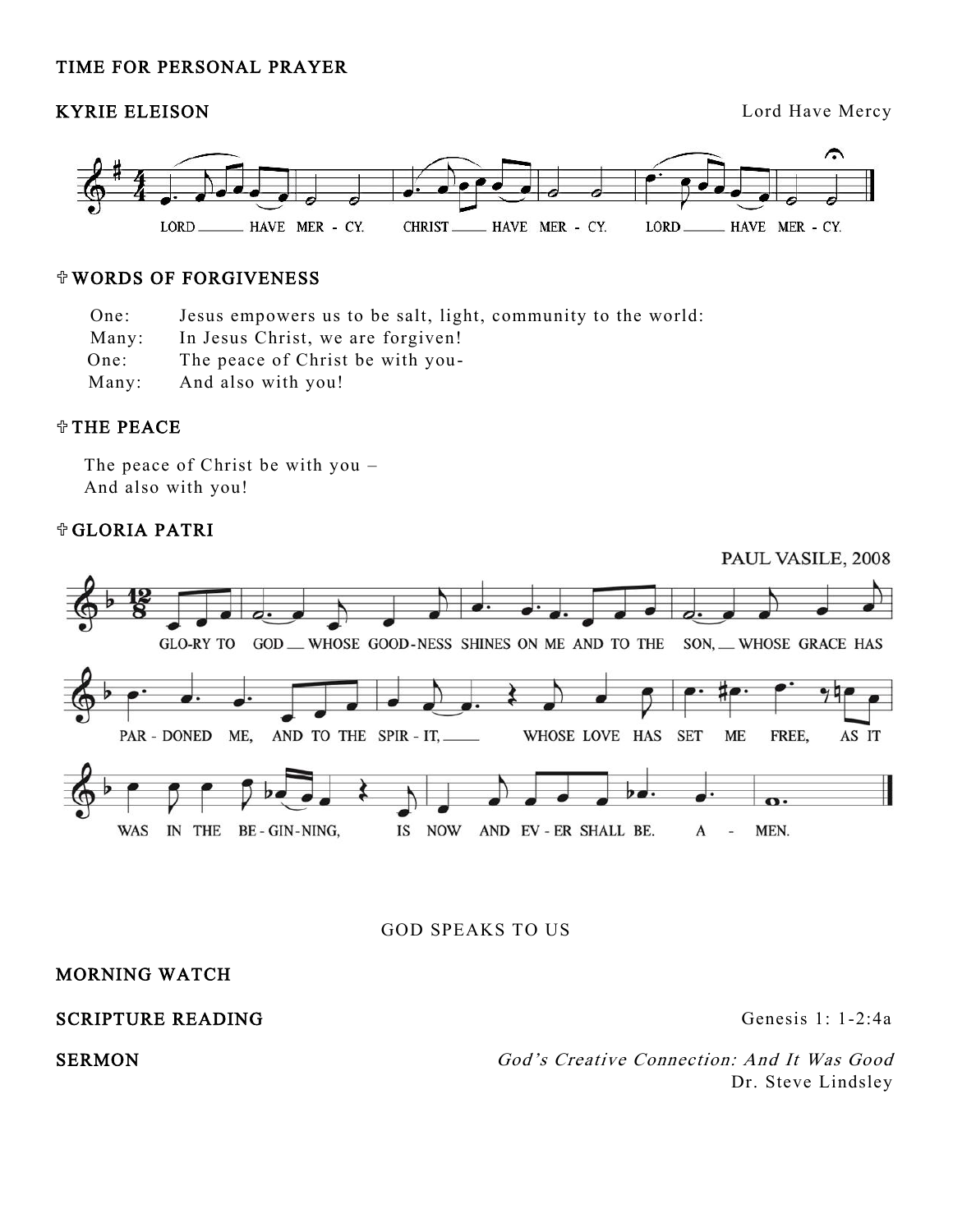# TIME FOR PERSONAL PRAYER

# KYRIE ELEISON Lord Have Mercy



# WORDS OF FORGIVENESS

One: Jesus empowers us to be salt, light, community to the world:

Many: In Jesus Christ, we are forgiven!

 One: The peace of Christ be with you-

 Many: And also with you!

### THE PEACE

The peace of Christ be with you – And also with you!

# GLORIA PATRI



GOD SPEAKS TO US

# MORNING WATCH

# SCRIPTURE READING Genesis 1: 1-2:4a

SERMON God's Creative Connection: And It Was Good Dr. Steve Lindsley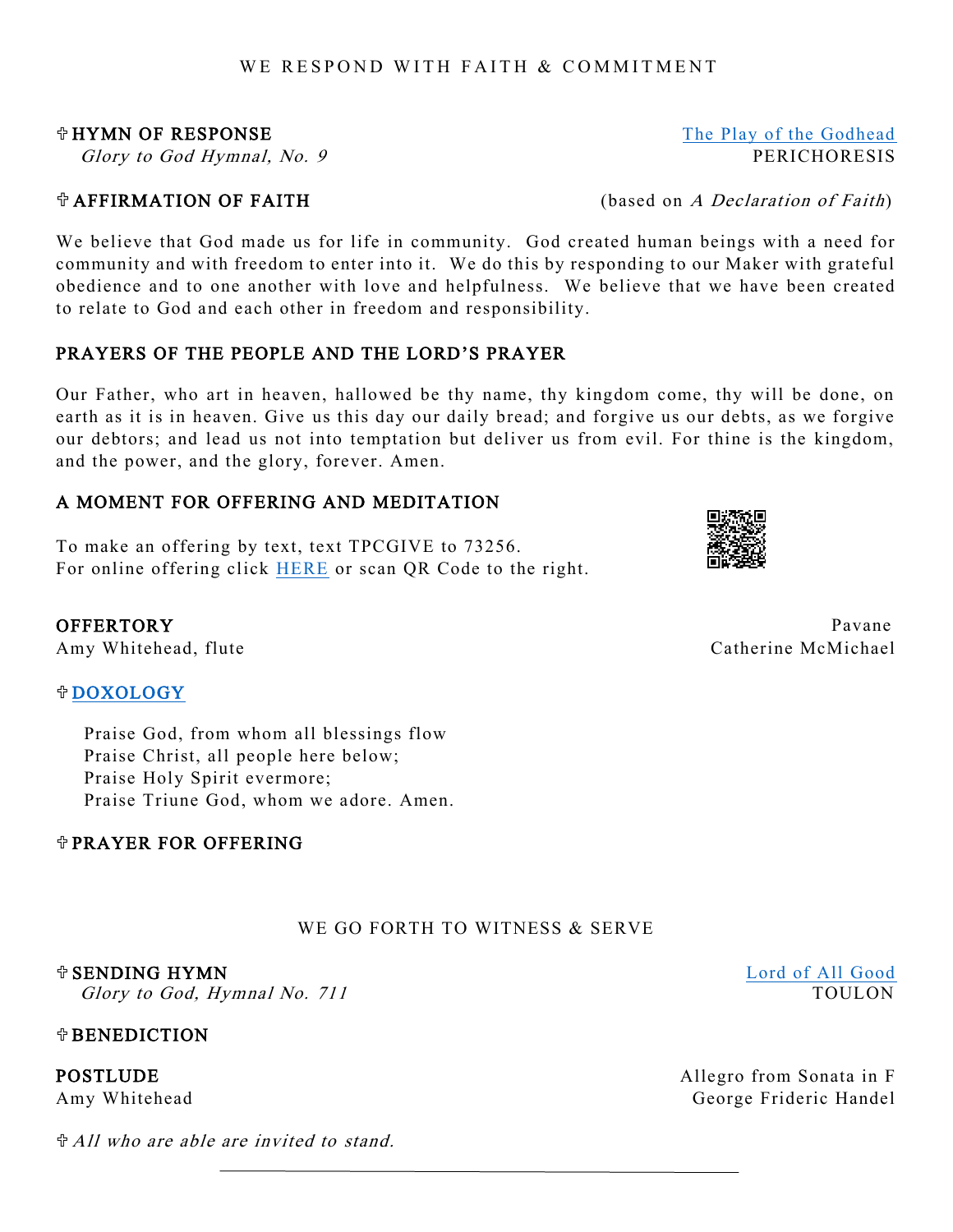# WE RESPOND WITH FAITH & COMMITMENT

We believe that God made us for life in community. God created human beings with a need for community and with freedom to enter into it. We do this by responding to our Maker with grateful obedience and to one another with love and helpfulness. We believe that we have been created to relate to God and each other in freedom and responsibility.

# PRAYERS OF THE PEOPLE AND THE LORD'S PRAYER

Our Father, who art in heaven, hallowed be thy name, thy kingdom come, thy will be done, on earth as it is in heaven. Give us this day our daily bread; and forgive us our debts, as we forgive our debtors; and lead us not into temptation but deliver us from evil. For thine is the kingdom, and the power, and the glory, forever. Amen.

# A MOMENT FOR OFFERING AND MEDITATION

To make an offering by text, text TPCGIVE to 73256. For online offering click [HERE](https://trinitypreschurch.org/give/) or scan QR Code to the right.

Amy Whitehead, flute **Catherine McMichael** 

# [DOXOLOGY](https://trinitypreschurch.org/wp-content/uploads/2021/06/Doxology.pdf)

Praise God, from whom all blessings flow Praise Christ, all people here below; Praise Holy Spirit evermore; Praise Triune God, whom we adore. Amen.

# PRAYER FOR OFFERING

# WE GO FORTH TO WITNESS & SERVE

### SENDING HYMN [Lord of All Good](https://trinitypreschurch.org/wp-content/uploads/2022/06/711-Lord-of-All-Good.pdf)

Glory to God, Hymnal No. 711 TOULON

# *<u><b>TBENEDICTION</u>*

All who are able are invited to stand.



OFFERTORY Pavane

**HYMN OF RESPONSE** [The Play of the Godhead](https://trinitypreschurch.org/wp-content/uploads/2022/06/9-The-Play-of-the-Godhead.pdf) Glory to God Hymnal, No. 9 PERICHORESIS

 $\mathcal{F}$  AFFIRMATION OF FAITH (based on A Declaration of Faith)

**POSTLUDE Allegro from Sonata in F** Amy Whitehead George Frideric Handel